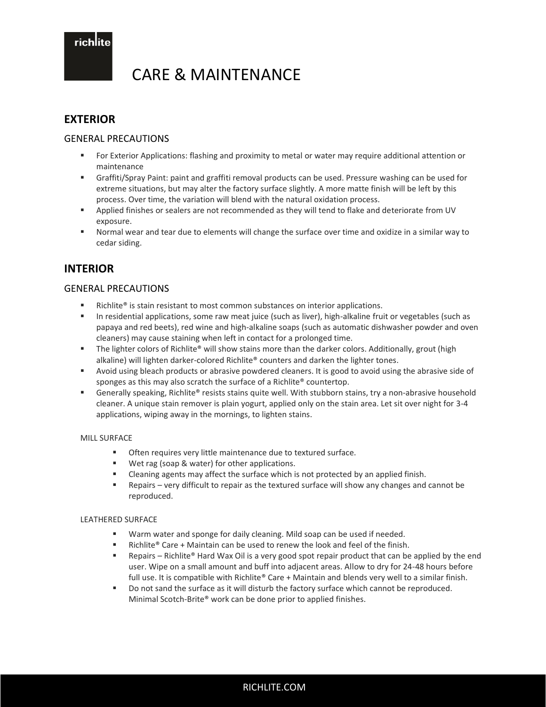richlite

# CARE & MAINTENANCE

## **EXTERIOR**

## GENERAL PRECAUTIONS

- For Exterior Applications: flashing and proximity to metal or water may require additional attention or maintenance
- Graffiti/Spray Paint: paint and graffiti removal products can be used. Pressure washing can be used for extreme situations, but may alter the factory surface slightly. A more matte finish will be left by this process. Over time, the variation will blend with the natural oxidation process.
- Applied finishes or sealers are not recommended as they will tend to flake and deteriorate from UV exposure.
- Normal wear and tear due to elements will change the surface over time and oxidize in a similar way to cedar siding.

# **INTERIOR**

## GENERAL PRECAUTIONS

- Richlite<sup>®</sup> is stain resistant to most common substances on interior applications.
- In residential applications, some raw meat juice (such as liver), high-alkaline fruit or vegetables (such as papaya and red beets), red wine and high-alkaline soaps (such as automatic dishwasher powder and oven cleaners) may cause staining when left in contact for a prolonged time.
- The lighter colors of Richlite® will show stains more than the darker colors. Additionally, grout (high alkaline) will lighten darker-colored Richlite® counters and darken the lighter tones.
- Avoid using bleach products or abrasive powdered cleaners. It is good to avoid using the abrasive side of sponges as this may also scratch the surface of a Richlite® countertop.
- Generally speaking, Richlite® resists stains quite well. With stubborn stains, try a non-abrasive household cleaner. A unique stain remover is plain yogurt, applied only on the stain area. Let sit over night for 3-4 applications, wiping away in the mornings, to lighten stains.

### MILL SURFACE

- Often requires very little maintenance due to textured surface.
- Wet rag (soap & water) for other applications.
- Cleaning agents may affect the surface which is not protected by an applied finish.
- Repairs very difficult to repair as the textured surface will show any changes and cannot be reproduced.

### LEATHERED SURFACE

- Warm water and sponge for daily cleaning. Mild soap can be used if needed.
- Richlite® Care + Maintain can be used to renew the look and feel of the finish.
- Repairs Richlite® Hard Wax Oil is a very good spot repair product that can be applied by the end user. Wipe on a small amount and buff into adjacent areas. Allow to dry for 24-48 hours before full use. It is compatible with Richlite® Care + Maintain and blends very well to a similar finish.
- Do not sand the surface as it will disturb the factory surface which cannot be reproduced. Minimal Scotch-Brite® work can be done prior to applied finishes.

RICHLITE.COM